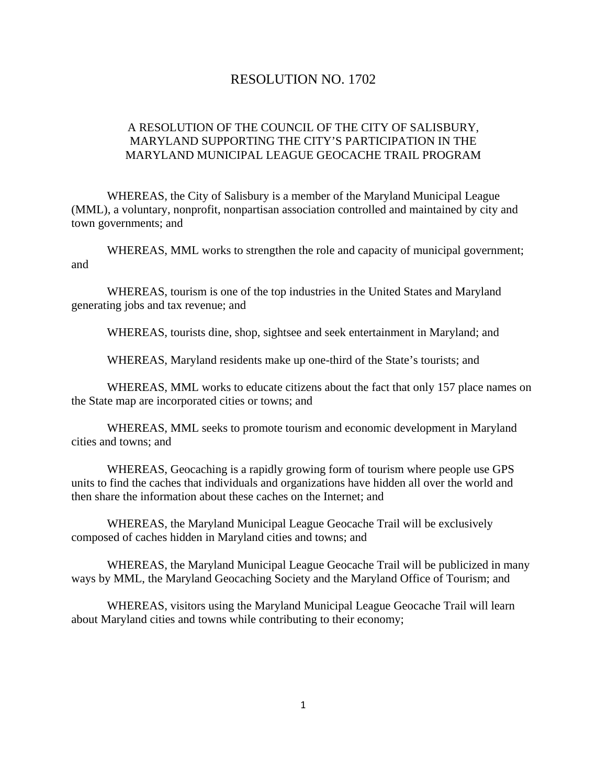## RESOLUTION NO. 1702

## A RESOLUTION OF THE COUNCIL OF THE CITY OF SALISBURY, MARYLAND SUPPORTING THE CITY'S PARTICIPATION IN THE MARYLAND MUNICIPAL LEAGUE GEOCACHE TRAIL PROGRAM

 WHEREAS, the City of Salisbury is a member of the Maryland Municipal League (MML), a voluntary, nonprofit, nonpartisan association controlled and maintained by city and town governments; and

 WHEREAS, MML works to strengthen the role and capacity of municipal government; and

 WHEREAS, tourism is one of the top industries in the United States and Maryland generating jobs and tax revenue; and

WHEREAS, tourists dine, shop, sightsee and seek entertainment in Maryland; and

WHEREAS, Maryland residents make up one-third of the State's tourists; and

 WHEREAS, MML works to educate citizens about the fact that only 157 place names on the State map are incorporated cities or towns; and

 WHEREAS, MML seeks to promote tourism and economic development in Maryland cities and towns; and

 WHEREAS, Geocaching is a rapidly growing form of tourism where people use GPS units to find the caches that individuals and organizations have hidden all over the world and then share the information about these caches on the Internet; and

 WHEREAS, the Maryland Municipal League Geocache Trail will be exclusively composed of caches hidden in Maryland cities and towns; and

 WHEREAS, the Maryland Municipal League Geocache Trail will be publicized in many ways by MML, the Maryland Geocaching Society and the Maryland Office of Tourism; and

 WHEREAS, visitors using the Maryland Municipal League Geocache Trail will learn about Maryland cities and towns while contributing to their economy;